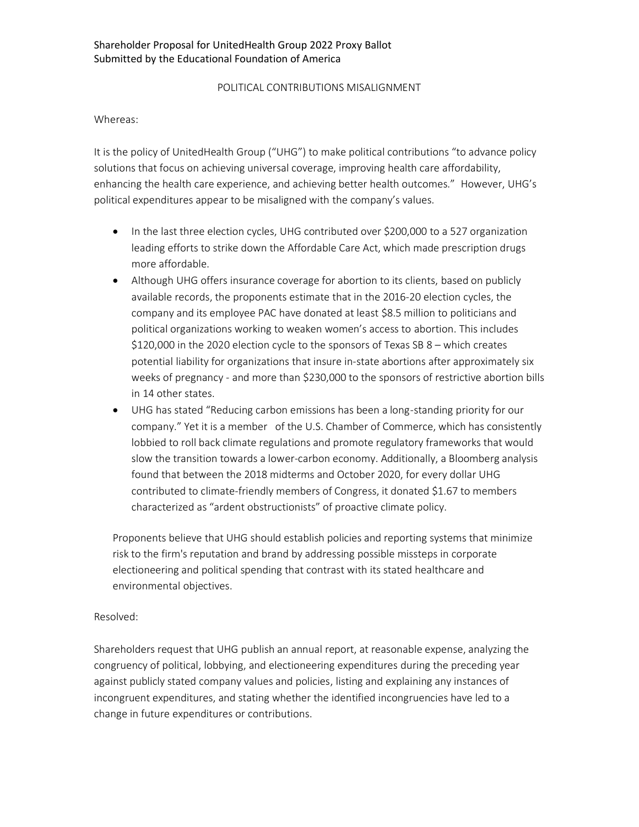## POLITICAL CONTRIBUTIONS MISALIGNMENT

## Whereas:

It is the policy of UnitedHealth Group ("UHG") to make political contributions "to advance policy solutions that focus on achieving universal coverage, improving health care affordability, enhancing the health care experience, and achieving better health outcomes." However, UHG's political expenditures appear to be misaligned with the company's values.

- In the last three election cycles, UHG contributed over \$200,000 to a 527 organization leading efforts to strike down the Affordable Care Act, which made prescription drugs more affordable.
- Although UHG offers insurance coverage for abortion to its clients, based on publicly available records, the proponents estimate that in the 2016-20 election cycles, the company and its employee PAC have donated at least \$8.5 million to politicians and political organizations working to weaken women's access to abortion. This includes \$120,000 in the 2020 election cycle to the sponsors of Texas SB 8 – which creates potential liability for organizations that insure in-state abortions after approximately six weeks of pregnancy - and more than \$230,000 to the sponsors of restrictive abortion bills in 14 other states.
- UHG has stated "Reducing carbon emissions has been a long-standing priority for our company." Yet it is a member of the U.S. Chamber of Commerce, which has consistently lobbied to roll back climate regulations and promote regulatory frameworks that would slow the transition towards a lower-carbon economy. Additionally, a Bloomberg analysis found that between the 2018 midterms and October 2020, for every dollar UHG contributed to climate-friendly members of Congress, it donated \$1.67 to members characterized as "ardent obstructionists" of proactive climate policy.

Proponents believe that UHG should establish policies and reporting systems that minimize risk to the firm's reputation and brand by addressing possible missteps in corporate electioneering and political spending that contrast with its stated healthcare and environmental objectives.

## Resolved:

Shareholders request that UHG publish an annual report, at reasonable expense, analyzing the congruency of political, lobbying, and electioneering expenditures during the preceding year against publicly stated company values and policies, listing and explaining any instances of incongruent expenditures, and stating whether the identified incongruencies have led to a change in future expenditures or contributions.